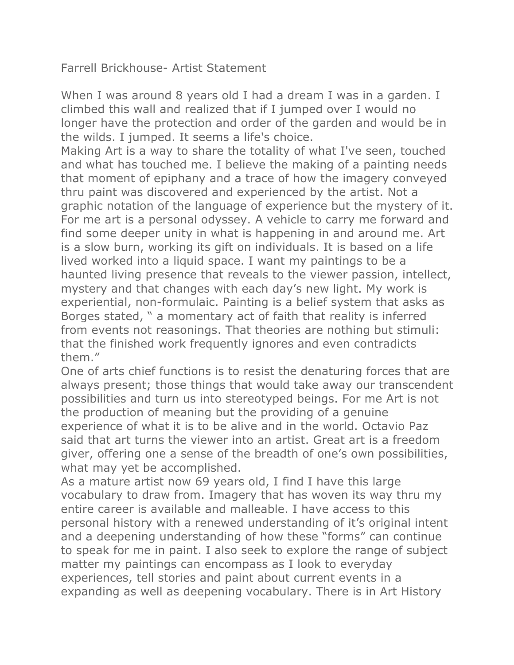Farrell Brickhouse- Artist Statement

When I was around 8 years old I had a dream I was in a garden. I climbed this wall and realized that if I jumped over I would no longer have the protection and order of the garden and would be in the wilds. I jumped. It seems a life's choice.

Making Art is a way to share the totality of what I've seen, touched and what has touched me. I believe the making of a painting needs that moment of epiphany and a trace of how the imagery conveyed thru paint was discovered and experienced by the artist. Not a graphic notation of the language of experience but the mystery of it. For me art is a personal odyssey. A vehicle to carry me forward and find some deeper unity in what is happening in and around me. Art is a slow burn, working its gift on individuals. It is based on a life lived worked into a liquid space. I want my paintings to be a haunted living presence that reveals to the viewer passion, intellect, mystery and that changes with each day's new light. My work is experiential, non-formulaic. Painting is a belief system that asks as Borges stated, " a momentary act of faith that reality is inferred from events not reasonings. That theories are nothing but stimuli: that the finished work frequently ignores and even contradicts them."

One of arts chief functions is to resist the denaturing forces that are always present; those things that would take away our transcendent possibilities and turn us into stereotyped beings. For me Art is not the production of meaning but the providing of a genuine experience of what it is to be alive and in the world. Octavio Paz said that art turns the viewer into an artist. Great art is a freedom giver, offering one a sense of the breadth of one's own possibilities, what may yet be accomplished.

As a mature artist now 69 years old, I find I have this large vocabulary to draw from. Imagery that has woven its way thru my entire career is available and malleable. I have access to this personal history with a renewed understanding of it's original intent and a deepening understanding of how these "forms" can continue to speak for me in paint. I also seek to explore the range of subject matter my paintings can encompass as I look to everyday experiences, tell stories and paint about current events in a expanding as well as deepening vocabulary. There is in Art History